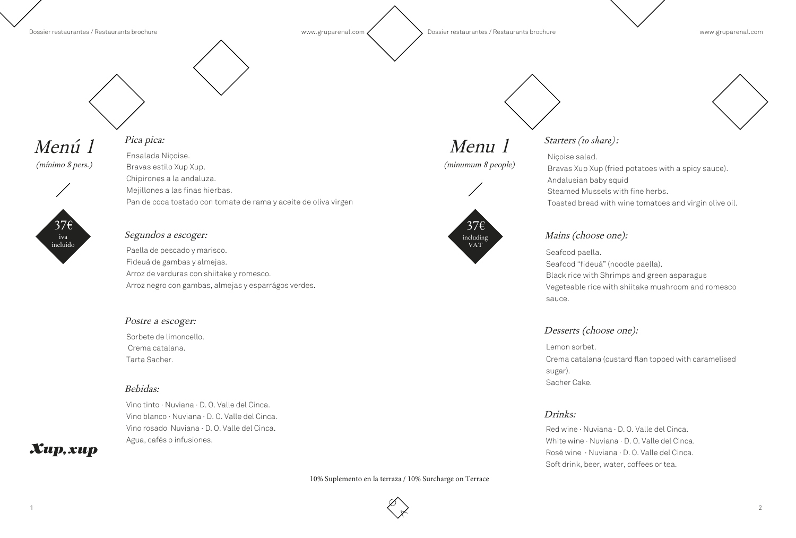

### Menú 1

(mínimo 8 pers.)





### Pica pica:

Ensalada Niçoise. Bravas estilo Xup Xup. Chipirones a la andaluza. Mejillones a las finas hierbas. Pan de coca tostado con tomate de rama y aceite de oliva virgen

#### Segundos a escoger:

Paella de pescado y marisco. Fideuá de gambas y almejas. Arroz de verduras con shiitake y romesco. Arroz negro con gambas, almejas y esparrágos verdes.

#### Postre a escoger:

Sorbete de limoncello. Crema catalana. Tarta Sacher.

#### Bebidas:

Vino tinto · Nuviana · D. O. Valle del Cinca. Vino blanco · Nuviana · D. O. Valle del Cinca. Vino rosado Nuviana · D. O. Valle del Cinca. Agua, cafés o infusiones.

### $\boldsymbol{X}$ up,  $\boldsymbol{x}$ up

### Menu 1

(minumum 8 people)



#### Starters *(to share)*:

Niçoise salad. Bravas Xup Xup (fried potatoes with a spicy sauce). Andalusian baby squid Steamed Mussels with fine herbs. Toasted bread with wine tomatoes and virgin olive oil.

Seafood paella. Seafood "fideuá" (noodle paella). Black rice with Shrimps and green asparagus sauce.

Vegeteable rice with shiitake mushroom and romesco

#### Desserts (choose one):

Crema catalana (custard flan topped with caramelised

Lemon sorbet. sugar). Sacher Cake.

#### Drinks:

Red wine · Nuviana · D. O. Valle del Cinca. White wine · Nuviana · D. O. Valle del Cinca. Rosé wine · Nuviana · D. O. Valle del Cinca. Soft drink, beer, water, coffees or tea.



#### Mains (choose one):

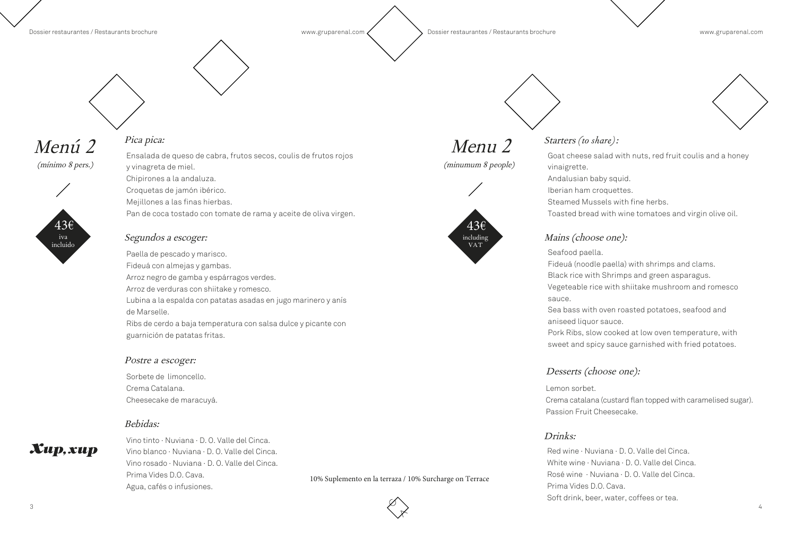

#### Dossier restaurantes / Restaurants brochure www.gruparenal.com  $\sim$  Dossier restaurantes / Restaurants brochure www.gruparenal.com

## Menú 2

(mínimo 8 pers.)



iva incluido

### Pica pica:

Ensalada de queso de cabra, frutos secos, coulis de frutos rojos y vinagreta de miel. Chipirones a la andaluza. Croquetas de jamón ibérico. Mejillones a las finas hierbas. Pan de coca tostado con tomate de rama y aceite de oliva virgen.

#### Segundos a escoger:

Paella de pescado y marisco. Fideuá con almejas y gambas. Arroz negro de gamba y espárragos verdes. Arroz de verduras con shiitake y romesco. Lubina a la espalda con patatas asadas en jugo marinero y anís de Marselle. Ribs de cerdo a baja temperatura con salsa dulce y picante con guarnición de patatas fritas.

#### Postre a escoger:

Sorbete de limoncello. Crema Catalana. Cheesecake de maracuyá.

#### Bebidas:

### $\boldsymbol{X}$ up,  $\boldsymbol{x}$ up

Vino tinto · Nuviana · D. O. Valle del Cinca. Vino blanco · Nuviana · D. O. Valle del Cinca. Vino rosado · Nuviana · D. O. Valle del Cinca. Prima Vides D.O. Cava. Agua, cafés o infusiones.

## Menu 2

(minumum 8 people)



#### Starters *(to share)*:

Goat cheese salad with nuts, red fruit coulis and a honey vinaigrette.

Andalusian baby squid. Iberian ham croquettes. Steamed Mussels with fine herbs. Toasted bread with wine tomatoes and virgin olive oil.

Seafood paella. Fideuá (noodle paella) with shrimps and clams. Black rice with Shrimps and green asparagus. Vegeteable rice with shiitake mushroom and romesco sauce.

Sea bass with oven roasted potatoes, seafood and aniseed liquor sauce. Pork Ribs, slow cooked at low oven temperature, with sweet and spicy sauce garnished with fried potatoes.

#### Desserts (choose one):

Lemon sorbet. Crema catalana (custard flan topped with caramelised sugar). Passion Fruit Cheesecake.

#### Drinks:

Red wine · Nuviana · D. O. Valle del Cinca. White wine · Nuviana · D. O. Valle del Cinca. Rosé wine · Nuviana · D. O. Valle del Cinca. Prima Vides D.O. Cava. Soft drink, beer, water, coffees or tea.



#### Mains (choose one):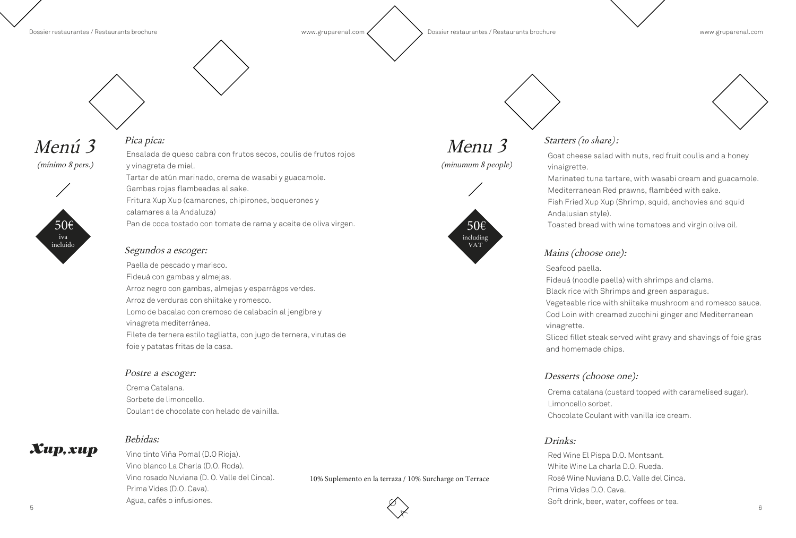#### Dossier restaurantes / Restaurants brochure www.gruparenal.com  $\sim$  Dossier restaurantes / Restaurants brochure www.gruparenal.com

### Menú 3

(mínimo 8 pers.)





#### Pica pica:

Ensalada de queso cabra con frutos secos, coulis de frutos rojos y vinagreta de miel. Tartar de atún marinado, crema de wasabi y guacamole. Gambas rojas flambeadas al sake. Fritura Xup Xup (camarones, chipirones, boquerones y calamares a la Andaluza) Pan de coca tostado con tomate de rama y aceite de oliva virgen.

#### Segundos a escoger:

#### $\langle \rangle$ Vino tinto Viña Pomal (D.O Rioja). Vino blanco La Charla (D.O. Roda). Vino rosado Nuviana (D. O. Valle del Cinca). Prima Vides (D.O. Cava). Agua, cafés o infusiones.

Paella de pescado y marisco. Fideuá con gambas y almejas. Arroz negro con gambas, almejas y esparrágos verdes. Arroz de verduras con shiitake y romesco. Lomo de bacalao con cremoso de calabacín al jengibre y vinagreta mediterránea. Filete de ternera estilo tagliatta, con jugo de ternera, virutas de foie y patatas fritas de la casa.

#### Postre a escoger:

Crema Catalana. Sorbete de limoncello. Coulant de chocolate con helado de vainilla.

### $\boldsymbol{X}$ up,  $\boldsymbol{x}$ up

Bebidas:

## Menu 3

(minumum 8 people)



#### Starters *(to share)*:

Goat cheese salad with nuts, red fruit coulis and a honey vinaigrette. Marinated tuna tartare, with wasabi cream and guacamole. Mediterranean Red prawns, flambéed with sake. Fish Fried Xup Xup (Shrimp, squid, anchovies and squid Andalusian style).

Toasted bread with wine tomatoes and virgin olive oil.

Seafood paella. Fideuá (noodle paella) with shrimps and clams. Black rice with Shrimps and green asparagus. Vegeteable rice with shiitake mushroom and romesco sauce. Cod Loin with creamed zucchini ginger and Mediterranean vinagrette.

Sliced fillet steak served wiht gravy and shavings of foie gras

and homemade chips.

#### Desserts (choose one):

Crema catalana (custard topped with caramelised sugar). Limoncello sorbet. Chocolate Coulant with vanilla ice cream.

#### Drinks:

Red Wine El Pispa D.O. Montsant. White Wine La charla D.O. Rueda. Rosé Wine Nuviana D.O. Valle del Cinca. Prima Vides D.O. Cava. Soft drink, beer, water, coffees or tea.



#### Mains (choose one):

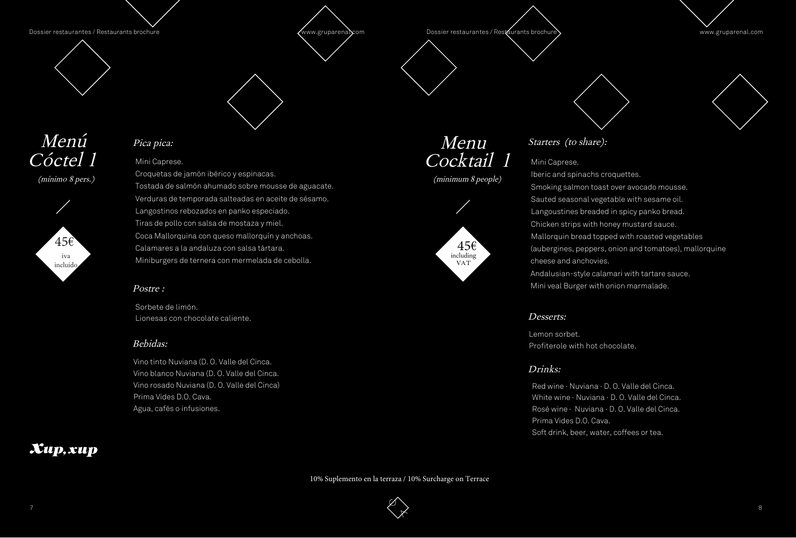





- 
- 
- 
- 
- 
- 

Dossier restaurantes / Restaurants brochure Dossier restaurantes / Restaurants brochure > www.gruparenal.com



### Menú Cóctel 1

(mínimo 8 pers.)



Menu Cocktail 1





### Pica pica:

Mini Caprese.

Croquetas de jamón ibérico y espinacas. Tostada de salmón ahumado sobre mousse de aguacate. Verduras de temporada salteadas en aceite de sésamo. Langostinos rebozados en panko especiado. Tiras de pollo con salsa de mostaza y miel. Coca Mallorquina con queso mallorquín y anchoas. Calamares a la andaluza con salsa tártara. Miniburgers de ternera con mermelada de cebolla.

#### Postre :

Sorbete de limón. Lionesas con chocolate caliente.

#### Bebidas:

Vino tinto Nuviana (D. O. Valle del Cinca. Vino blanco Nuviana (D. O. Valle del Cinca. Vino rosado Nuviana (D. O. Valle del Cinca) Prima Vides D.O. Cava. Agua, cafés o infusiones.

### Xup, xup

#### Starters (to share):

#### Mini Caprese.

Iberic and spinachs croquettes. Smoking salmon toast over avocado mousse. Sauted seasonal vegetable with sesame oil. Langoustines breaded in spicy panko bread. Chicken strips with honey mustard sauce. Mallorquin bread topped with roasted vegetables (aubergines, peppers, onion and tomatoes), mallorquine cheese and anchovies.

Andalusian-style calamari with tartare sauce. Mini veal Burger with onion marmalade.

#### Desserts:

Lemon sorbet. Profiterole with hot chocolate.

#### Drinks:

Red wine · Nuviana · D. O. Valle del Cinca. White wine · Nuviana · D. O. Valle del Cinca. Rosé wine · Nuviana · D. O. Valle del Cinca. Prima Vides D.O. Cava. Soft drink, beer, water, coffees or tea.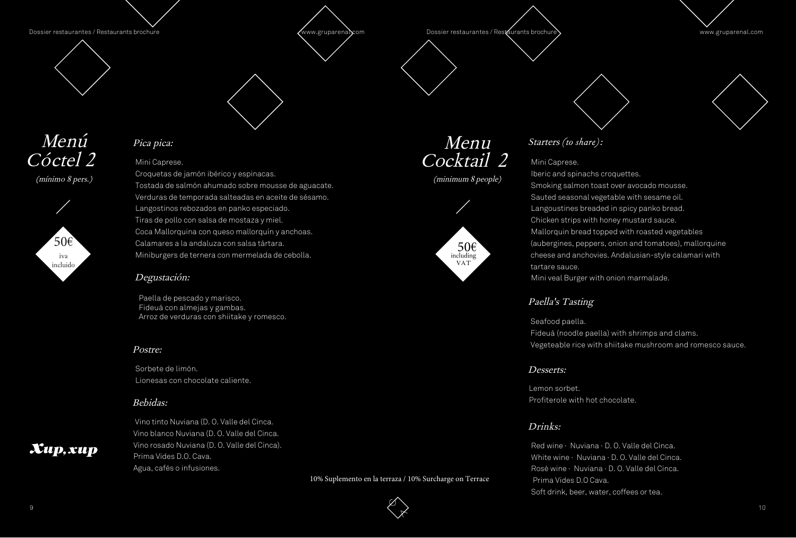Dossier restaurantes / Restaurants brochure Dossier restaurantes / Restaurants brochure > www.gruparenal.com



### Menú Cóctel<sub>2</sub>



(mínimo 8 pers.)



### Menu Cocktail 2

(minimum 8 people)



### Pica pica:

#### Postre:

Sorbete de limón. Lionesas con chocolate caliente.

#### Bebidas:



 Vino tinto Nuviana (D. O. Valle del Cinca. Vino blanco Nuviana (D. O. Valle del Cinca. Vino rosado Nuviana (D. O. Valle del Cinca).







#### Starters *(to share)*:

#### Mini Caprese.

Red wine · Nuviana · D. O. Valle del Cinca. White wine · Nuviana · D. O. Valle del Cinca. Rosé wine · Nuviana · D. O. Valle del Cinca. Prima Vides D.O Cava. Soft drink, beer, water, coffees or tea.

Iberic and spinachs croquettes. Smoking salmon toast over avocado mousse. Sauted seasonal vegetable with sesame oil. Langoustines breaded in spicy panko bread. Chicken strips with honey mustard sauce. Mallorquin bread topped with roasted vegetables (aubergines, peppers, onion and tomatoes), mallorquine cheese and anchovies. Andalusian-style calamari with tartare sauce.

Mini veal Burger with onion marmalade.

#### Desserts:

Lemon sorbet. Profiterole with hot chocolate.

#### Drinks:

Mini Caprese.

Croquetas de jamón ibérico y espinacas. Tostada de salmón ahumado sobre mousse de aguacate. Verduras de temporada salteadas en aceite de sésamo. Langostinos rebozados en panko especiado. Tiras de pollo con salsa de mostaza y miel. Coca Mallorquina con queso mallorquín y anchoas. Calamares a la andaluza con salsa tártara. Miniburgers de ternera con mermelada de cebolla.

#### Degustación:

Paella de pescado y marisco. Fideuá con almejas y gambas. Arroz de verduras con shiitake y romesco.

#### Paella's Tasting

Seafood paella. Fideuá (noodle paella) with shrimps and clams. Vegeteable rice with shiitake mushroom and romesco sauce.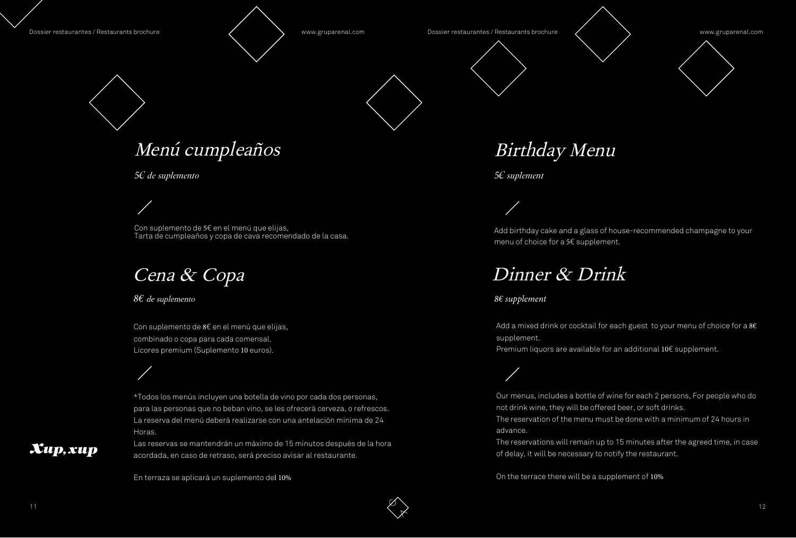Dossier restaurantes / Restaurants brochure **Warehouse Manual Com** Music Dossier restaurantes / Restaurants brochure **Warehouse Manual Communisments** www.gruparenal.com

# Menú cumpleaños



 $\boldsymbol{X}$ up,  $\boldsymbol{x}$ up



Birthday Menu

*5€ suplement*

Add birthday cake and a glass of house-recommended champagne to your menu of choice for a 5€ supplement.

Add a mixed drink or cocktail for each guest to your menu of choice for a  $86$ supplement. Premium liquors are available for an additional 10€ supplement.

## Dinner & Drink

*8€ supplement*

Our menus, includes a bottle of wine for each 2 persons, For people who do not drink wine, they will be offered beer, or soft drinks. The reservation of the menu must be done with a minimum of 24 hours in advance.

The reservations will remain up to 15 minutes after the agreed time, in case of delay, it will be necessary to notify the restaurant.

Las reservas se mantendrán un máximo de 15 minutos después de la hora acordada, en caso de retraso, será preciso avisar al restaurante.

On the terrace there will be a supplement of 10%

*5€ de suplemento*

Con suplemento de 5€ en el menú que elijas, Tarta de cumpleaños y copa de cava recomendado de la casa.

### Cena & Copa

*8€* de suplemento

Con suplemento de 8€ en el menú que elijas, combinado o copa para cada comensal. Licores premium (Suplemento 10 euros).

\*Todos los menús incluyen una botella de vino por cada dos personas, para las personas que no beban vino, se les ofrecerá cerveza, o refrescos. La reserva del menú deberá realizarse con una antelación mínima de 24 Horas.

En terraza se aplicará un suplemento del 10%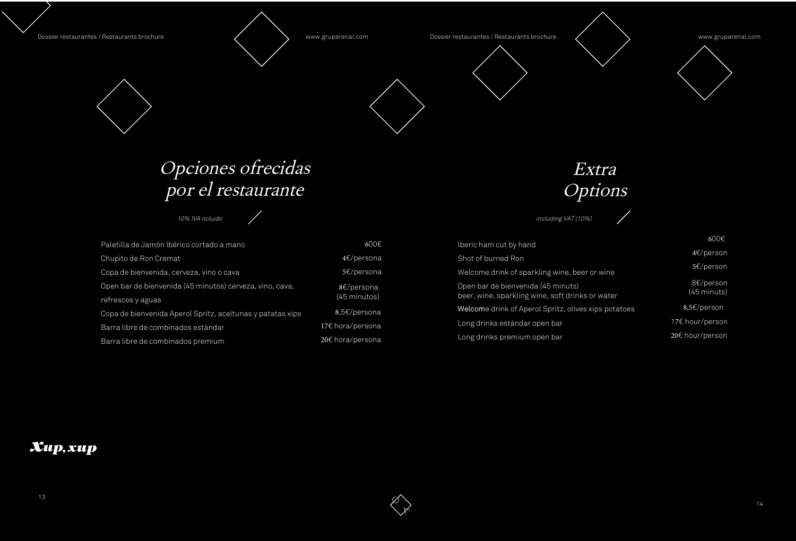| Paletilla de Jamón Ibérico cortado a mano                  | $600 \in$             |
|------------------------------------------------------------|-----------------------|
| Chupito de Ron Cremat                                      | $4 \epsilon$ /persona |
| Copa de bienvenida, cerveza, vino o cava                   | 5€/persona            |
| Open bar de bienvenida (45 minutos) cerveza, vino, cava,   | 8€/persona            |
| refrescos y aguas                                          | (45 minutos)          |
| Copa de bienvenida Aperol Spritz, aceitunas y patatas xips | 8,5€/persona          |
| Barra libre de combinados estándar                         | 17€ hora/persona      |
| Barra libre de combinados premium                          | 20€ hora/persona      |

Dossier restaurantes / Restaurants brochure **Ware and Manual Com** Www.gruparenal.com Dossier restaurantes / Restaurants brochure **Ware and Ware www.gruparenal.com** 





600€

## Opciones ofrecidas por el restaurante

 $\bigg)$ 

10% IVA ncluido

600€

4€/person

5€/person

8€/person (45 minuts)

| Iberic ham cut by hand                                                                 |
|----------------------------------------------------------------------------------------|
| Shot of burned Ron                                                                     |
| Welcome drink of sparkling wine, beer or wine                                          |
| Open bar de bienvenida (45 minuts)<br>beer, wine, sparkling wine, soft drinks or water |
| Welcome drink of Aperol Spritz, olives xips potatoes                                   |
| Long drinks estándar open bar                                                          |
| Long drinks premium open bar                                                           |
|                                                                                        |

### Xup, xup



 8,5€/person 17€ hour/person 20€ hour/person

Extra Options

including VAT (10%)